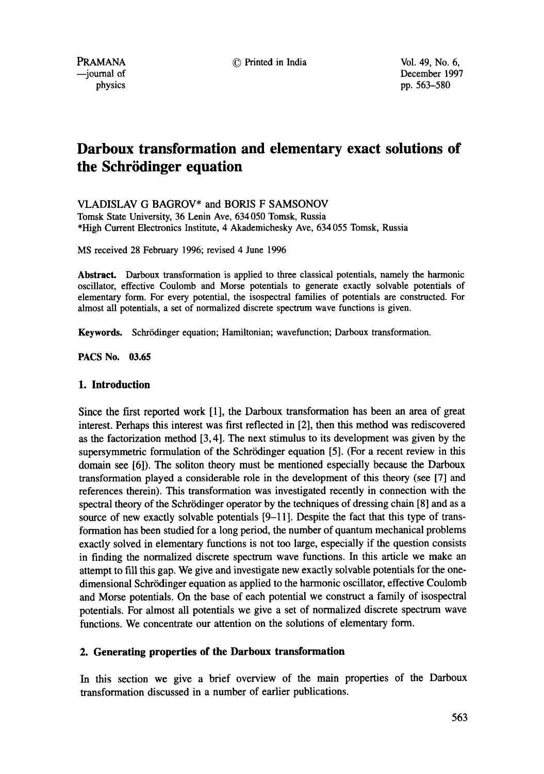--journal of December 1997 physics pp. 563-580

# **Darboux transformation and elementary exact solutions of the Schrödinger equation**

VLADISLAV G BAGROV\* and BORIS F SAMSONOV

Tomsk State University, 36 Lenin Ave, 634 050 Tomsk, Russia \*High Current Electronics Institute, 4 Akademichesky Ave, 634 055 Tomsk, Russia

MS received 28 February 1996; revised 4 June 1996

**Abstract.** Darboux transformation is applied to three classical potentials, namely the harmonic oscillator, effective Coulomb and Morse potentials to generate exactly solvable potentials of elementary form. For every potential, the isospectral families of potentials are constructed. For almost all potentials, a set of normalized discrete spectrum wave functions is given.

Keywords. Schrödinger equation; Hamiltonian; wavefunction; Darboux transformation.

**PACS No. 03.65** 

# **I. Introduction**

Since the first reported work [1], the Darboux transformation has been an area of great interest. Perhaps this interest was first reflected in [2], then this method was rediscovered as the factorization method [3, 4]. The next stimulus to its development was given by the supersymmetric formulation of the Schrödinger equation [5]. (For a recent review in this domain see [6]). The soliton theory must be mentioned especially because the Darboux transformation played a considerable role in the development of this theory (see [7] and references therein). This transformation was investigated recently in connection with the spectral theory of the Schrödinger operator by the techniques of dressing chain [8] and as a source of new exactly solvable potentials [9-11]. Despite the fact that this type of transformation has been studied for a long period, the number of quantum mechanical problems exactly solved in elementary functions is not too large, especially if the question consists in finding the normalized discrete spectrum wave functions. In this article we make an attempt to fill this gap. We give and investigate new exactly solvable potentials for the onedimensional Schrödinger equation as applied to the harmonic oscillator, effective Coulomb and Morse potentials. On the base of each potential we construct a family of isospectral potentials. For almost all potentials we give a set of normalized discrete spectrum wave functions. We concentrate our attention on the solutions of elementary form.

# **2. Generating properties of the Darboux transformation**

In this section we give a brief overview of the main properties of the Darboux transformation discussed in a number of earlier publications.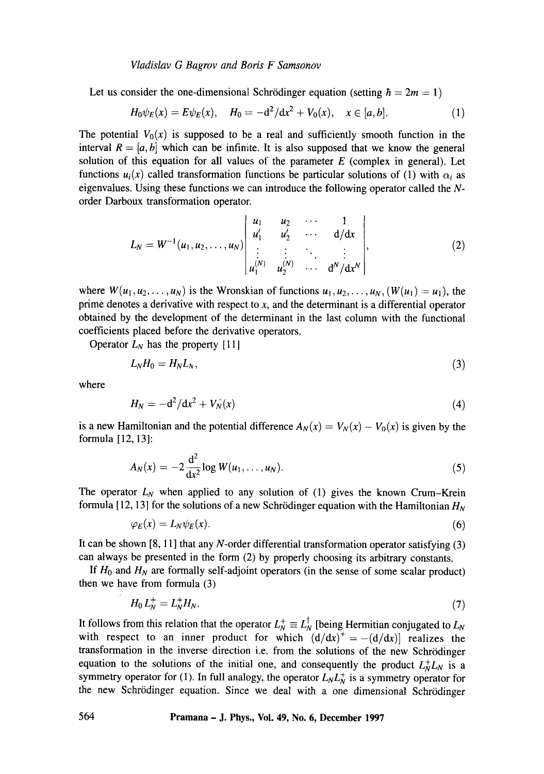Let us consider the one-dimensional Schrödinger equation (setting  $\hbar = 2m = 1$ )

$$
H_0\psi_E(x) = E\psi_E(x), \quad H_0 = -d^2/dx^2 + V_0(x), \quad x \in [a, b].
$$
 (1)

The potential  $V_0(x)$  is supposed to be a real and sufficiently smooth function in the interval  $R = [a, b]$  which can be infinite. It is also supposed that we know the general solution of this equation for all values of the parameter  $E$  (complex in general). Let functions  $u_i(x)$  called transformation functions be particular solutions of (1) with  $\alpha_i$  as eigenvalues. Using these functions we can introduce the following operator called the  $N$ order Darboux transformation operator.

$$
L_N = W^{-1}(u_1, u_2, \dots, u_N) \begin{vmatrix} u_1 & u_2 & \cdots & 1 \\ u'_1 & u'_2 & \cdots & d/dx \\ \vdots & \vdots & \ddots & \vdots \\ u_1^{(N)} & u_2^{(N)} & \cdots & d^N/dx^N \end{vmatrix},
$$
 (2)

where  $W(u_1, u_2, \ldots, u_N)$  is the Wronskian of functions  $u_1, u_2, \ldots, u_N$ ,  $(W(u_1) = u_1)$ , the prime denotes a derivative with respect to  $x$ , and the determinant is a differential operator obtained by the development of the determinant in the last column with the functional coefficients placed before the derivative operators.

Operator  $L_N$  has the property [11]

$$
L_N H_0 = H_N L_N, \tag{3}
$$

where

$$
H_N = -\mathrm{d}^2/\mathrm{d}x^2 + V_N(x) \tag{4}
$$

is a new Hamiltonian and the potential difference  $A_N(x) = V_N(x) - V_0(x)$  is given by the formula [12, 13]:

$$
A_N(x) = -2 \frac{d^2}{dx^2} \log W(u_1, \dots, u_N).
$$
 (5)

The operator  $L_N$  when applied to any solution of (1) gives the known Crum-Krein formula [12, 13] for the solutions of a new Schrödinger equation with the Hamiltonian  $H_N$ 

$$
\varphi_E(x) = L_N \psi_E(x). \tag{6}
$$

It can be shown  $[8, 11]$  that any N-order differential transformation operator satisfying  $(3)$ can always be presented in the form (2) by properly choosing its arbitrary constants.

If  $H_0$  and  $H_N$  are formally self-adjoint operators (in the sense of some scalar product) then we have from formula (3)

$$
H_0 L_N^+ = L_N^+ H_N. \tag{7}
$$

It follows from this relation that the operator  $L_N^+ \equiv L_N^{\dagger}$  [being Hermitian conjugated to  $L_N$ with respect to an inner product for which  $(d/dx)^{+} = -(d/dx)$  realizes the transformation in the inverse direction i.e. from the solutions of the new Schrrdinger equation to the solutions of the initial one, and consequently the product  $L_N^+L_N$  is a symmetry operator for (1). In full analogy, the operator  $L_N L_N^+$  is a symmetry operator for the new Schrödinger equation. Since we deal with a one dimensional Schrödinger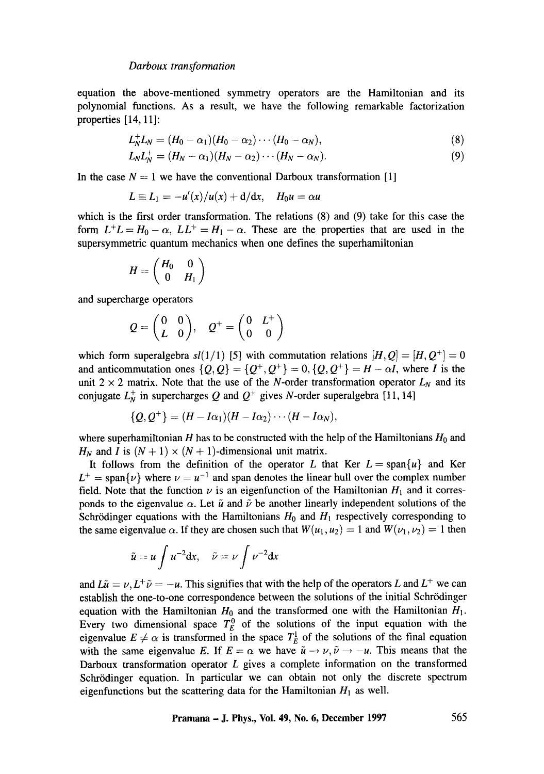equation the above-mentioned symmetry operators are the Hamiltonian and its polynomial functions. As a result, we have the following remarkable factorization properties [14, 11]:

$$
L_N^+L_N=(H_0-\alpha_1)(H_0-\alpha_2)\cdots(H_0-\alpha_N),\qquad \qquad (8)
$$

$$
L_N L_N^+ = (H_N - \alpha_1)(H_N - \alpha_2) \cdots (H_N - \alpha_N). \tag{9}
$$

In the case  $N = 1$  we have the conventional Darboux transformation [1]

$$
L \equiv L_1 = -u'(x)/u(x) + d/dx, \quad H_0 u = \alpha u
$$

which is the first order transformation. The relations (8) and (9) take for this case the form  $L^+L = H_0 - \alpha$ ,  $LL^+ = H_1 - \alpha$ . These are the properties that are used in the supersymmetric quantum mechanics when one defines the superhamiltonian

$$
H = \begin{pmatrix} H_0 & 0 \\ 0 & H_1 \end{pmatrix}
$$

and supercharge operators

$$
Q = \begin{pmatrix} 0 & 0 \\ L & 0 \end{pmatrix}, \quad Q^+ = \begin{pmatrix} 0 & L^+ \\ 0 & 0 \end{pmatrix}
$$

which form superalgebra  $s/(1/1)$  [5] with commutation relations  $[H, Q] = [H, Q^+] = 0$ and anticommutation ones  $\{Q, Q\} = \{Q^+, Q^+\} = 0, \{Q, Q^+\} = H - \alpha I$ , where I is the unit  $2 \times 2$  matrix. Note that the use of the N-order transformation operator  $L<sub>N</sub>$  and its conjugate  $L_N^+$  in supercharges Q and  $Q^+$  gives N-order superalgebra [11, 14]

$$
\{Q,Q^+\}=(H-I\alpha_1)(H-I\alpha_2)\cdots(H-I\alpha_N),
$$

where superhamiltonian H has to be constructed with the help of the Hamiltonians  $H_0$  and  $H_N$  and I is  $(N + 1) \times (N + 1)$ -dimensional unit matrix.

It follows from the definition of the operator L that Ker  $L = \text{span}\{u\}$  and Ker  $L^+$  = span $\{\nu\}$  where  $\nu = \nu^{-1}$  and span denotes the linear hull over the complex number field. Note that the function  $\nu$  is an eigenfunction of the Hamiltonian  $H_1$  and it corresponds to the eigenvalue  $\alpha$ . Let  $\tilde{u}$  and  $\tilde{\nu}$  be another linearly independent solutions of the Schrödinger equations with the Hamiltonians  $H_0$  and  $H_1$  respectively corresponding to the same eigenvalue  $\alpha$ . If they are chosen such that  $W(u_1, u_2) = 1$  and  $W(\nu_1, \nu_2) = 1$  then

$$
\tilde{u} = u \int u^{-2} \mathrm{d}x, \quad \tilde{\nu} = \nu \int \nu^{-2} \mathrm{d}x
$$

and  $L\tilde{u} = v, L^+\tilde{v} = -u$ . This signifies that with the help of the operators L and  $L^+$  we can establish the one-to-one correspondence between the solutions of the initial Schrödinger equation with the Hamiltonian  $H_0$  and the transformed one with the Hamiltonian  $H_1$ . Every two dimensional space  $T_E^0$  of the solutions of the input equation with the eigenvalue  $E \neq \alpha$  is transformed in the space  $T_E^1$  of the solutions of the final equation with the same eigenvalue E. If  $E = \alpha$  we have  $\tilde{u} \to \nu, \tilde{\nu} \to -\mu$ . This means that the Darboux transformation operator L gives a complete information on the transformed Schrödinger equation. In particular we can obtain not only the discrete spectrum eigenfunctions but the scattering data for the Hamiltonian  $H_1$  as well.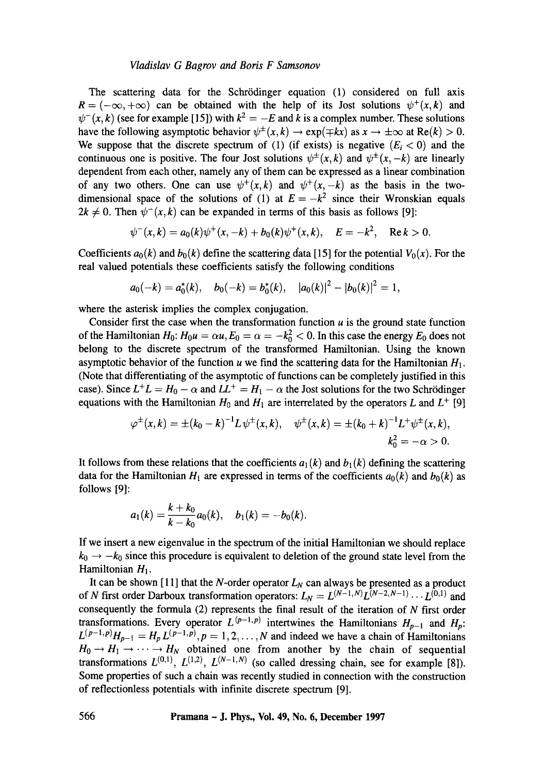The scattering data for the Schrödinger equation (1) considered on full axis  $R = (-\infty, +\infty)$  can be obtained with the help of its Jost solutions  $\psi^+(x, k)$  and  $\psi^{-}(x, k)$  (see for example [15]) with  $k^2 = -E$  and k is a complex number. These solutions have the following asymptotic behavior  $\psi^{\pm}(x, k) \rightarrow \exp(\mp kx)$  as  $x \rightarrow \pm \infty$  at Re(k) > 0. We suppose that the discrete spectrum of (1) (if exists) is negative  $(E_i < 0)$  and the continuous one is positive. The four Jost solutions  $\psi^{\pm}(x, k)$  and  $\psi^{\pm}(x, -k)$  are linearly dependent from each other, namely any of them can be expressed as a linear combination of any two others. One can use  $\psi^+(x, k)$  and  $\psi^+(x, -k)$  as the basis in the twodimensional space of the solutions of (1) at  $E = -k^2$  since their Wronskian equals  $2k \neq 0$ . Then  $\psi^{-}(x,k)$  can be expanded in terms of this basis as follows [9]:

$$
\psi^-(x,k) = a_0(k)\psi^+(x,-k) + b_0(k)\psi^+(x,k), \quad E = -k^2, \quad \text{Re } k > 0.
$$

Coefficients  $a_0(k)$  and  $b_0(k)$  define the scattering data [15] for the potential  $V_0(x)$ . For the real valued potentials these coefficients satisfy the following conditions

$$
a_0(-k) = a_0^*(k)
$$
,  $b_0(-k) = b_0^*(k)$ ,  $|a_0(k)|^2 - |b_0(k)|^2 = 1$ ,

where the asterisk implies the complex conjugation.

Consider first the case when the transformation function  $u$  is the ground state function of the Hamiltonian  $H_0: H_0u = \alpha u, E_0 = \alpha = -k_0^2 < 0$ . In this case the energy  $E_0$  does not belong to the discrete spectrum of the transformed Hamiltonian. Using the known asymptotic behavior of the function u we find the scattering data for the Hamiltonian  $H_1$ . (Note that differentiating of the asymptotic of functions can be completely justified in this case). Since  $L^+L = H_0 - \alpha$  and  $L^+ = H_1 - \alpha$  the Jost solutions for the two Schrödinger equations with the Hamiltonian  $H_0$  and  $H_1$  are interrelated by the operators L and  $L^+$  [9]

$$
\varphi^{\pm}(x,k) = \pm (k_0 - k)^{-1} L \psi^{\pm}(x,k), \quad \psi^{\pm}(x,k) = \pm (k_0 + k)^{-1} L^{\pm} \psi^{\pm}(x,k),
$$
  

$$
k_0^2 = -\alpha > 0.
$$

It follows from these relations that the coefficients  $a_1(k)$  and  $b_1(k)$  defining the scattering data for the Hamiltonian  $H_1$  are expressed in terms of the coefficients  $a_0(k)$  and  $b_0(k)$  as follows [9]:

$$
a_1(k)=\frac{k+k_0}{k-k_0}a_0(k), \quad b_1(k)=-b_0(k).
$$

If we insert a new eigenvalue in the spectrum of the initial Hamiltonian we should replace  $k_0 \rightarrow -k_0$  since this procedure is equivalent to deletion of the ground state level from the Hamiltonian  $H_1$ .

It can be shown [11] that the N-order operator  $L_N$  can always be presented as a product of N first order Darboux transformation operators:  $L_N = L^{(N-1,N)} L^{(N-2,N-1)} \cdots L^{(0,1)}$  and consequently the formula (2) represents the final result of the iteration of N first order transformations. Every operator  $L^{(p-1,p)}$  intertwines the Hamiltonians  $H_{p-1}$  and  $H_p$ :  $L^{(p-1,p)}H_{p-1} = H_p L^{(p-1,p)}, p = 1,2,\ldots,N$  and indeed we have a chain of Hamiltonians  $H_0 \rightarrow H_1 \rightarrow \cdots \rightarrow H_N$  obtained one from another by the chain of sequential transformations  $L^{(0,1)}$ ,  $L^{(1,2)}$ ,  $L^{(N-1,N)}$  (so called dressing chain, see for example [8]). Some properties of such a chain was recently studied in connection with the construction of reflectionless potentials with infinite discrete spectrum [9].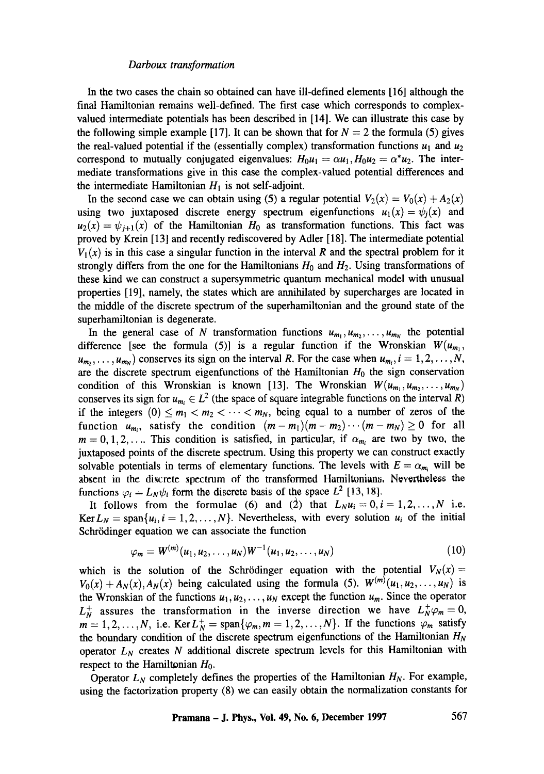In the two cases the chain so obtained can have ill-defined elements [16] although the final Hamiltonian remains well-defined. The first case which corresponds to complexvalued intermediate potentials has been described in [14]. We can illustrate this case by the following simple example [17]. It can be shown that for  $N = 2$  the formula (5) gives the real-valued potential if the (essentially complex) transformation functions  $u_1$  and  $u_2$ correspond to mutually conjugated eigenvalues:  $H_0u_1 = \alpha u_1$ ,  $H_0u_2 = \alpha^*u_2$ . The intermediate transformations give in this case the complex-valued potential differences and the intermediate Hamiltonian  $H_1$  is not self-adjoint.

In the second case we can obtain using (5) a regular potential  $V_2(x) = V_0(x) + A_2(x)$ using two juxtaposed discrete energy spectrum eigenfunctions  $u_1(x) = \psi_i(x)$  and  $u_2(x) = \psi_{i+1}(x)$  of the Hamiltonian  $H_0$  as transformation functions. This fact was proved by Krein [13] and recently rediscovered by Adler [18]. The intermediate potential  $V_1(x)$  is in this case a singular function in the interval R and the spectral problem for it strongly differs from the one for the Hamiltonians  $H_0$  and  $H_2$ . Using transformations of these kind we can construct a supersymmetric quantum mechanical model with unusual properties [19], namely, the states which are annihilated by supercharges are located in the middle of the discrete spectrum of the superhamiltonian and the ground state of the superhamiltonian is degenerate.

In the general case of N transformation functions  $u_{m_1}, u_{m_2}, \ldots, u_{m_N}$  the potential difference [see the formula (5)] is a regular function if the Wronskian  $W(u_{m_1},$  $u_{m_2}, \ldots, u_{m_N}$  conserves its sign on the interval R. For the case when  $u_{m_i}, i = 1, 2, \ldots, N$ , are the discrete spectrum eigenfunctions of the Hamiltonian  $H_0$  the sign conservation condition of this Wronskian is known [13]. The Wronskian  $W(u_{m_1}, u_{m_2}, \ldots, u_{m_N})$ conserves its sign for  $u_{m_i} \in L^2$  (the space of square integrable functions on the interval R) if the integers  $(0) \le m_1 < m_2 < \cdots < m_N$ , being equal to a number of zeros of the function  $u_{m_i}$ , satisfy the condition  $(m - m_1)(m - m_2) \cdots (m - m_N) \ge 0$  for all  $m = 0, 1, 2, \ldots$  This condition is satisfied, in particular, if  $\alpha_{m_i}$  are two by two, the juxtaposed points of the discrete spectrum. Using this property we can construct exactly solvable potentials in terms of elementary functions. The levels with  $E = \alpha_m$ , will be absent in the discrete spectrum of the transformed Hamiltonians. Nevertheless the functions  $\varphi_i = L_N \psi_i$  form the discrete basis of the space  $L^2$  [13, 18].

It follows from the formulae (6) and (2) that  $L_N u_i = 0, i = 1, 2, ..., N$  i.e. Ker  $L_N = \text{span}\{u_i, i = 1, 2, ..., N\}$ . Nevertheless, with every solution  $u_i$  of the initial Schrödinger equation we can associate the function

$$
\varphi_m = W^{(m)}(u_1, u_2, \dots, u_N) W^{-1}(u_1, u_2, \dots, u_N)
$$
\n(10)

which is the solution of the Schrödinger equation with the potential  $V_N(x)$  =  $V_0(x) + A_N(x)$ ,  $A_N(x)$  being calculated using the formula (5).  $W^{(m)}(u_1, u_2, \ldots, u_N)$  is the Wronskian of the functions  $u_1, u_2, \ldots, u_N$  except the function  $u_m$ . Since the operator  $L_N^+$  assures the transformation in the inverse direction we have  $L_N^+\varphi_m=0$ ,  $m = 1, 2, \ldots, N$ , i.e. Ker  $L_N^+ = \text{span}\{\varphi_m, m = 1, 2, \ldots, N\}$ . If the functions  $\varphi_m$  satisfy the boundary condition of the discrete spectrum eigenfunctions of the Hamiltonian  $H_N$ operator  $L<sub>N</sub>$  creates N additional discrete spectrum levels for this Hamiltonian with respect to the Hamiltonian  $H_0$ .

Operator  $L_N$  completely defines the properties of the Hamiltonian  $H_N$ . For example, using the factorization property (8) we can easily obtain the normalization constants for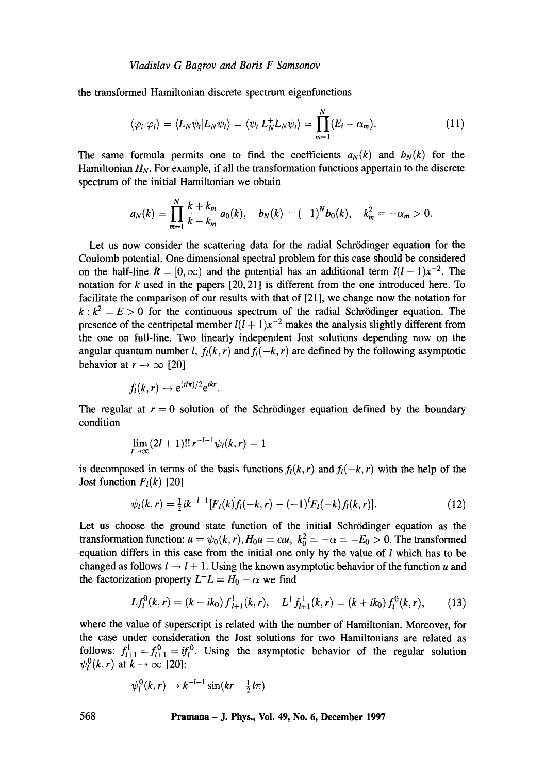the transformed Hamiltonian discrete spectrum eigenfunctions

$$
\langle \varphi_i | \varphi_i \rangle = \langle L_N \psi_i | L_N \psi_i \rangle = \langle \psi_i | L_N^+ L_N \psi_i \rangle = \prod_{m=1}^N (E_i - \alpha_m). \tag{11}
$$

The same formula permits one to find the coefficients  $a_N(k)$  and  $b_N(k)$  for the Hamiltonian  $H_N$ . For example, if all the transformation functions appertain to the discrete spectrum of the initial Hamiltonian we obtain

$$
a_N(k) = \prod_{m=1}^N \frac{k + k_m}{k - k_m} a_0(k), \quad b_N(k) = (-1)^N b_0(k), \quad k_m^2 = -\alpha_m > 0.
$$

Let us now consider the scattering data for the radial Schrödinger equation for the Coulomb potential. One dimensional spectral problem for this case should be considered on the half-line  $R = [0, \infty)$  and the potential has an additional term  $l(l+1)x^{-2}$ . The notation for  $k$  used in the papers  $[20, 21]$  is different from the one introduced here. To facilitate the comparison of our results with that of [21], we change now the notation for  $k : k^2 = E > 0$  for the continuous spectrum of the radial Schrödinger equation. The presence of the centripetal member  $l(l + 1)x^{-2}$  makes the analysis slightly different from the one on full-line. Two linearly independent Jost solutions depending now on the angular quantum number l,  $f<sub>l</sub>(k, r)$  and  $f<sub>l</sub>(-k, r)$  are defined by the following asymptotic behavior at  $r \rightarrow \infty$  [20]

$$
f_l(k,r) \rightarrow e^{(il\pi)/2}e^{ikr}
$$
.

The regular at  $r = 0$  solution of the Schrödinger equation defined by the boundary condition

$$
\lim_{r \to \infty} (2l+1)!! r^{-l-1} \psi_l(k,r) = 1
$$

is decomposed in terms of the basis functions  $f_l(k, r)$  and  $f_l(-k, r)$  with the help of the Jost function  $F_l(k)$  [20]

$$
\psi_l(k,r) = \frac{1}{2}ik^{-l-1}[F_l(k) f_l(-k,r) - (-1)^l F_l(-k) f_l(k,r)]. \qquad (12)
$$

Let us choose the ground state function of the initial Schrödinger equation as the transformation function:  $u = \psi_0(k, r)$ ,  $H_0 u = \alpha u$ ,  $k_0^2 = -\alpha = -E_0 > 0$ . The transformed equation differs in this case from the initial one only by the value of  $l$  which has to be changed as follows  $l \rightarrow l + 1$ . Using the known asymptotic behavior of the function u and the factorization property  $L^+L = H_0 - \alpha$  we find

$$
Lf_l^0(k,r) = (k - ik_0) f_{l+1}^1(k,r), \quad L^+ f_{l+1}^1(k,r) = (k + ik_0) f_l^0(k,r), \qquad (13)
$$

where the value of superscript is related with the number of Hamiltonian. Moreover, for the case under consideration the Jost solutions for two Hamiltonians are related as follows:  $f_{l+1}^1 = f_{l+1}^0 = if_l^0$ . Using the asymptotic behavior of the regular solution  $\psi_l^0(k, r)$  at  $k \to \infty$  [20]:

$$
\psi_l^0(k,r) \to k^{-l-1} \sin(kr - \frac{1}{2}l\pi)
$$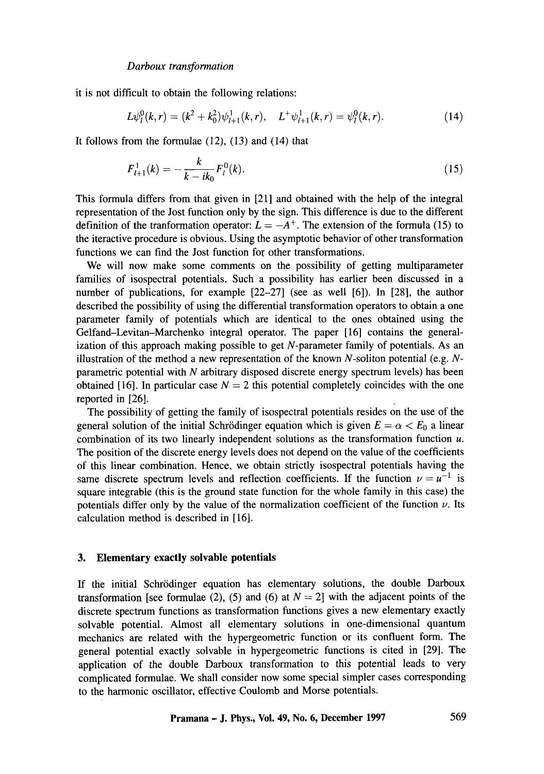it is not difficult to obtain the following relations:

$$
L\psi_l^0(k,r) = (k^2 + k_0^2)\psi_{l+1}^1(k,r), \quad L^+\psi_{l+1}^1(k,r) = \psi_l^0(k,r). \tag{14}
$$

It follows from the formulae  $(12)$ ,  $(13)$  and  $(14)$  that

$$
F_{l+1}^1(k) = -\frac{k}{k - ik_0} F_l^0(k). \tag{15}
$$

This formula differs from that given in [21] and obtained with the help of the integral representation of the Jost function only by the sign. This difference is due to the different definition of the tranformation operator:  $L = -A^+$ . The extension of the formula (15) to the iteractive procedure is obvious. Using the asymptotic behavior of other transformation functions we can find the Jost function for other transformations.

We will now make some comments on the possibility of getting multiparameter families of isospectral potentials. Such a possibility has earlier been discussed in a number of publications, for example [22-27] (see as well [6]). In [28], the author described the possibility of using the differential transformation operators to obtain a one parameter family of potentials which are identical to the ones obtained using the Gelfand-Levitan-Marchenko integral operator. The paper [16] contains the generalization of this approach making possible to get N-parameter family of potentials. As an illustration of the method a new representation of the known N-soliton potential (e.g.  $N$ parametric potential with  $N$  arbitrary disposed discrete energy spectrum levels) has been obtained [16]. In particular case  $N = 2$  this potential completely coincides with the one reported in [26].

The possibility of getting the family of isospectral potentials resides on the use of the general solution of the initial Schrödinger equation which is given  $E = \alpha < E_0$  a linear combination of its two linearly independent solutions as the transformation function u. The position of the discrete energy levels does not depend on the value of the coefficients of this linear combination. Hence, we obtain strictly isospectral potentials having the same discrete spectrum levels and reflection coefficients. If the function  $\nu = u^{-1}$  is square integrable (this is the ground state function for the whole family in this case) the potentials differ only by the value of the normalization coefficient of the function  $\nu$ . Its calculation method is described in [16].

## **3. Elementary exactly solvable potentials**

If the initial Schrödinger equation has elementary solutions, the double Darboux transformation [see formulae (2), (5) and (6) at  $N = 2$ ] with the adjacent points of the discrete spectrum functions as transformation functions gives a new elementary exactly solvable potential. Almost all elementary solutions in one-dimensional quantum mechanics are related with the hypergeometric function or its confluent form. The general potential exactly solvable in hypergeometric functions is cited in [29]. The application of the double Darboux transformation to this potential leads to very complicated formulae. We shall consider now some special simpler cases corresponding to the harmonic oscillator, effective Coulomb and Morse potentials.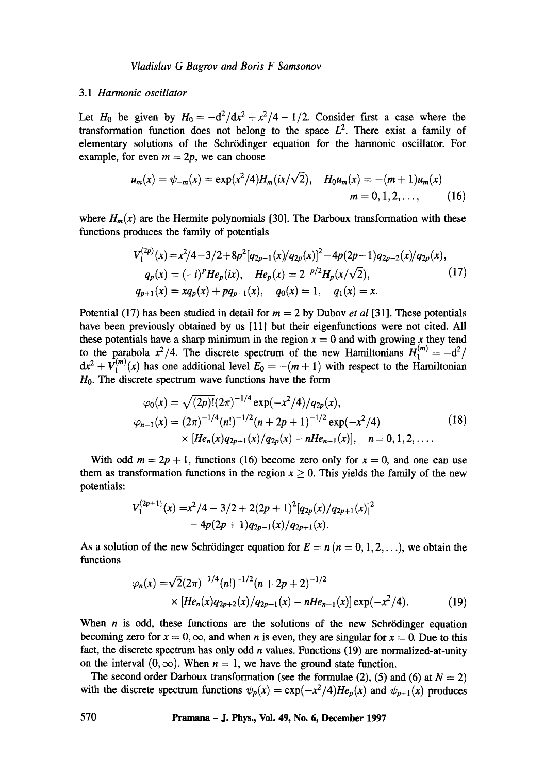### 3.1 *Harmonic oscillator*

Let H<sub>0</sub> be given by  $H_0 = -d^2/dx^2 + x^2/4 - 1/2$ . Consider first a case where the transformation function does not belong to the space  $L^2$ . There exist a family of elementary solutions of the Schrödinger equation for the harmonic oscillator. For example, for even  $m = 2p$ , we can choose

$$
u_m(x) = \psi_{-m}(x) = \exp(x^2/4)H_m(ix/\sqrt{2}), \quad H_0u_m(x) = -(m+1)u_m(x)
$$
  
\n
$$
m = 0, 1, 2, ..., \quad (16)
$$

where  $H_m(x)$  are the Hermite polynomials [30]. The Darboux transformation with these functions produces the family of potentials

$$
V_1^{(2p)}(x) = x^2/4 - 3/2 + 8p^2 [q_{2p-1}(x)/q_{2p}(x)]^2 - 4p(2p-1)q_{2p-2}(x)/q_{2p}(x),
$$
  
\n
$$
q_p(x) = (-i)^p He_p(ix), \quad He_p(x) = 2^{-p/2} H_p(x/\sqrt{2}), \quad (17)
$$
  
\n
$$
q_{p+1}(x) = xq_p(x) + pq_{p-1}(x), \quad q_0(x) = 1, \quad q_1(x) = x.
$$

Potential (17) has been studied in detail for m = 2 by Dubov *et al* [31]. These potentials have been previously obtained by us [11] but their eigenfunctions were not cited. All these potentials have a sharp minimum in the region  $x = 0$  and with growing x they tend to the parabola  $x^2/4$ . The discrete spectrum of the new Hamiltonians  $H_1^{(m)} = -d^2/4$  $dx^2 + V_1^{(m)}(x)$  has one additional level  $E_0 = -(m+1)$  with respect to the Hamiltonian  $H<sub>0</sub>$ . The discrete spectrum wave functions have the form

$$
\varphi_0(x) = \sqrt{(2p)!} (2\pi)^{-1/4} \exp(-x^2/4)/q_{2p}(x),
$$
  
\n
$$
\varphi_{n+1}(x) = (2\pi)^{-1/4} (n!)^{-1/2} (n+2p+1)^{-1/2} \exp(-x^2/4)
$$
  
\n
$$
\times [He_n(x)q_{2p+1}(x)/q_{2p}(x) - nHe_{n-1}(x)], \quad n = 0, 1, 2, ....
$$
\n(18)

With odd  $m = 2p + 1$ , functions (16) become zero only for  $x = 0$ , and one can use them as transformation functions in the region  $x \ge 0$ . This yields the family of the new potentials:

$$
V_1^{(2p+1)}(x) = x^2/4 - 3/2 + 2(2p+1)^2 [q_{2p}(x)/q_{2p+1}(x)]^2 - 4p(2p+1)q_{2p-1}(x)/q_{2p+1}(x).
$$

As a solution of the new Schrödinger equation for  $E = n (n = 0, 1, 2, ...)$ , we obtain the functions

$$
\varphi_n(x) = \sqrt{2}(2\pi)^{-1/4}(n!)^{-1/2}(n+2p+2)^{-1/2}
$$
  
×  $[He_n(x)q_{2p+2}(x)/q_{2p+1}(x) - nHe_{n-1}(x)]\exp(-x^2/4).$  (19)

When  $n$  is odd, these functions are the solutions of the new Schrödinger equation becoming zero for  $x = 0$ ,  $\infty$ , and when n is even, they are singular for  $x = 0$ . Due to this fact, the discrete spectrum has only odd  $n$  values. Functions (19) are normalized-at-unity on the interval  $(0, \infty)$ . When  $n = 1$ , we have the ground state function.

The second order Darboux transformation (see the formulae (2), (5) and (6) at  $N = 2$ ) with the discrete spectrum functions  $\psi_p(x) = \exp(-x^2/4)He_p(x)$  and  $\psi_{p+1}(x)$  produces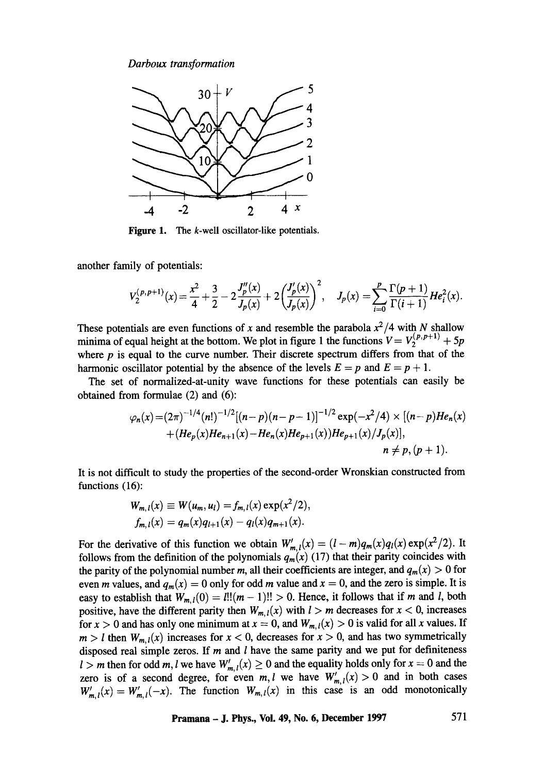

**Figure 1.**  The k-well oscillator-like potentials.

another family of potentials:

$$
V_2^{(p,p+1)}(x) = \frac{x^2}{4} + \frac{3}{2} - 2\frac{J_p''(x)}{J_p(x)} + 2\left(\frac{J_p'(x)}{J_p(x)}\right)^2, \quad J_p(x) = \sum_{i=0}^p \frac{\Gamma(p+1)}{\Gamma(i+1)} H e_i^2(x).
$$

These potentials are even functions of x and resemble the parabola  $x^2/4$  with N shallow minima of equal height at the bottom. We plot in figure 1 the functions  $V = V_2^{(p,p+1)} + 5p$ where  $p$  is equal to the curve number. Their discrete spectrum differs from that of the harmonic oscillator potential by the absence of the levels  $E = p$  and  $E = p + 1$ .

The set of normalized-at-unity wave functions for these potentials can easily be obtained from formulae (2) and (6):

$$
\varphi_n(x) = (2\pi)^{-1/4} (n!)^{-1/2} [(n-p)(n-p-1)]^{-1/2} \exp(-x^2/4) \times [(n-p)He_n(x) + (He_p(x)He_{n+1}(x) - He_n(x)He_{p+1}(x))He_{p+1}(x)/J_p(x)],
$$
  
\n
$$
n \neq p, (p+1).
$$

It is not difficult to study the properties of the second-order Wronskian constructed from functions (16):

$$
W_{m, l}(x) \equiv W(u_m, u_l) = f_{m, l}(x) \exp(x^2/2), f_{m, l}(x) = q_m(x)q_{l+1}(x) - q_l(x)q_{m+1}(x).
$$

For the derivative of this function we obtain  $W'_{m,l}(x) = (l - m)q_m(x)q_l(x) \exp(x^2/2)$ . It follows from the definition of the polynomials  $q_m(x)$  (17) that their parity coincides with the parity of the polynomial number m, all their coefficients are integer, and  $q_m(x) > 0$  for even *m* values, and  $q_m(x) = 0$  only for odd *m* value and  $x = 0$ , and the zero is simple. It is easy to establish that  $W_{m,l}(0) = l! | (m-1)! | > 0$ . Hence, it follows that if m and l, both positive, have the different parity then  $W_{m,l}(x)$  with  $l > m$  decreases for  $x < 0$ , increases for  $x > 0$  and has only one minimum at  $x = 0$ , and  $W_{m,1}(x) > 0$  is valid for all x values. If  $m > l$  then  $W_{m,l}(x)$  increases for  $x < 0$ , decreases for  $x > 0$ , and has two symmetrically disposed real simple zeros. If  $m$  and  $l$  have the same parity and we put for definiteness  $l > m$  then for odd m, l we have  $W'_{m,l}(x) \geq 0$  and the equality holds only for  $x = 0$  and the zero is of a second degree, for even  $m, l$  we have  $W'_{m,l}(x) > 0$  and in both cases  $W'_{m,l}(x) = W'_{m,l}(-x)$ . The function  $W_{m,l}(x)$  in this case is an odd monotonically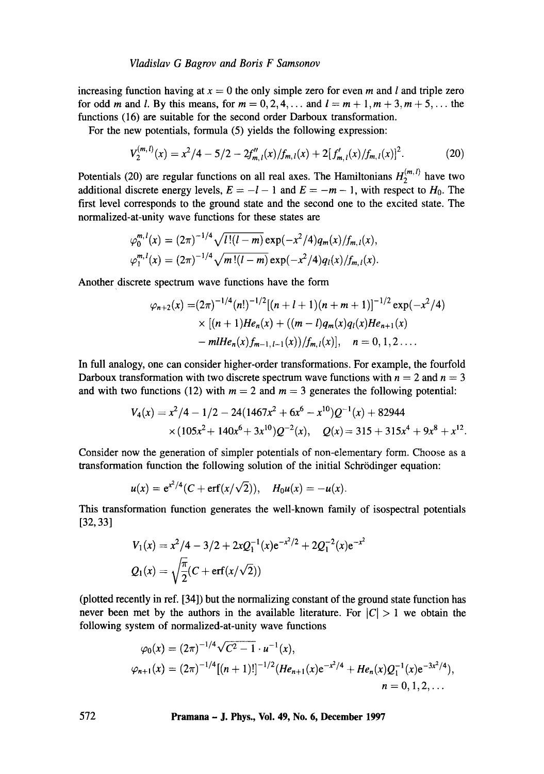increasing function having at  $x = 0$  the only simple zero for even m and l and triple zero for odd m and l. By this means, for  $m = 0, 2, 4, \ldots$  and  $l = m + 1, m + 3, m + 5, \ldots$  the functions (16) are suitable for the second order Darboux transformation.

For the new potentials, formula (5) yields the following expression:

$$
V_2^{(m,l)}(x) = x^2/4 - 5/2 - 2f''_{m,l}(x)/f_{m,l}(x) + 2[f'_{m,l}(x)/f_{m,l}(x)]^2.
$$
 (20)

Potentials (20) are regular functions on all real axes. The Hamiltonians  $H_2^{(m,l)}$  have two additional discrete energy levels,  $E = -l - 1$  and  $E = -m - 1$ , with respect to  $H_0$ . The first level corresponds to the ground state and the second one to the excited state. The normalized-at-unity wave functions for these states are

$$
\varphi_0^{m,l}(x) = (2\pi)^{-1/4} \sqrt{l!(l-m)} \exp(-x^2/4) q_m(x) / f_{m,l}(x),
$$
  

$$
\varphi_1^{m,l}(x) = (2\pi)^{-1/4} \sqrt{m!(l-m)} \exp(-x^2/4) q_l(x) / f_{m,l}(x).
$$

Another discrete spectrum wave functions have the form

$$
\varphi_{n+2}(x) = (2\pi)^{-1/4} (n!)^{-1/2} [(n+l+1)(n+m+1)]^{-1/2} \exp(-x^2/4)
$$
  
× [(n+1)He<sub>n</sub>(x) + ((m-l)q<sub>m</sub>(x)q<sub>l</sub>(x)He<sub>n+1</sub>(x)  
– *m*IIHe<sub>n</sub>(x) f<sub>m-1,l-1</sub>(x)) / f<sub>m,l</sub>(x)], n = 0, 1, 2....

In full analogy, one can consider higher-order transformations. For example, the fourfold Darboux transformation with two discrete spectrum wave functions with  $n = 2$  and  $n = 3$ and with two functions (12) with  $m = 2$  and  $m = 3$  generates the following potential:

$$
V_4(x) = x^2/4 - 1/2 - 24(1467x^2 + 6x^6 - x^{10})Q^{-1}(x) + 82944
$$
  
×(105x<sup>2</sup> + 140x<sup>6</sup> + 3x<sup>10</sup>)Q<sup>-2</sup>(x), Q(x) = 315 + 315x<sup>4</sup> + 9x<sup>8</sup> + x<sup>12</sup>.

Consider now the generation of simpler potentials of non-elementary form. Choose as a transformation function the following solution of the initial Schrödinger equation:

$$
u(x) = e^{x^2/4}(C + erf(x/\sqrt{2})),
$$
  $H_0u(x) = -u(x).$ 

This transformation function generates the well-known family of isospectral potentials [32,33]

$$
V_1(x) = x^2/4 - 3/2 + 2xQ_1^{-1}(x)e^{-x^2/2} + 2Q_1^{-2}(x)e^{-x^2}
$$
  

$$
Q_1(x) = \sqrt{\frac{\pi}{2}}(C + \text{erf}(x/\sqrt{2}))
$$

(plotted recently in ref. [34]) but the normalizing constant of the ground state function has never been met by the authors in the available literature. For  $|C| > 1$  we obtain the following system of normalized-at-unity wave functions

$$
\varphi_0(x) = (2\pi)^{-1/4}\sqrt{C^2 - 1} \cdot u^{-1}(x),
$$
  
\n
$$
\varphi_{n+1}(x) = (2\pi)^{-1/4}[(n+1)!]^{-1/2}(He_{n+1}(x)e^{-x^2/4} + He_n(x)Q_1^{-1}(x)e^{-3x^2/4}),
$$
  
\n
$$
n = 0, 1, 2, ...
$$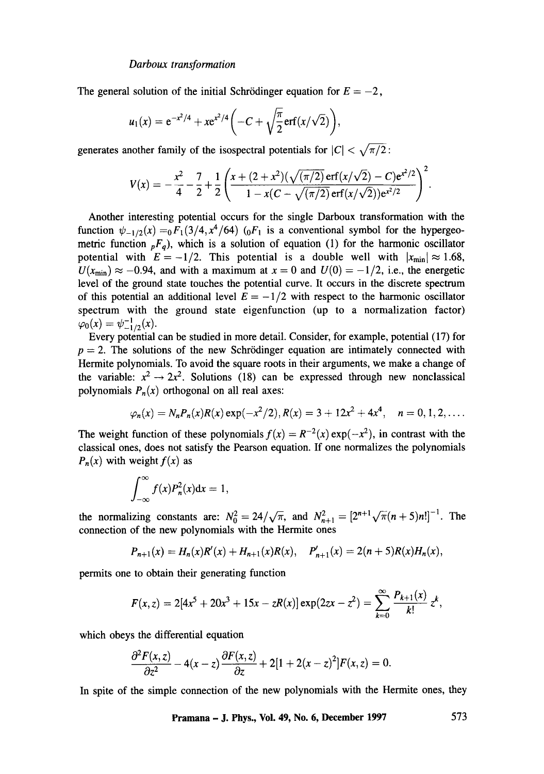The general solution of the initial Schrödinger equation for  $E = -2$ ,

$$
u_1(x) = e^{-x^2/4} + xe^{x^2/4} \left(-C + \sqrt{\frac{\pi}{2}} erf(x/\sqrt{2})\right),
$$

generates another family of the isospectral potentials for  $|C| < \sqrt{\pi/2}$ :

$$
V(x) = -\frac{x^2}{4} - \frac{7}{2} + \frac{1}{2} \left( \frac{x + (2 + x^2)(\sqrt{(\pi/2)} \operatorname{erf}(x/\sqrt{2}) - C) e^{x^2/2}}{1 - x(C - \sqrt{(\pi/2)} \operatorname{erf}(x/\sqrt{2})) e^{x^2/2}} \right)^2.
$$

Another interesting potential occurs for the single Darboux transformation with the function  $\psi_{-1/2} (x) =_0 F_1 (3/4, x^4/64)$  ( $_0F_1$  is a conventional symbol for the hypergeometric function  $pF_q$ ), which is a solution of equation (1) for the harmonic oscillator potential with  $E=-1/2$ . This potential is a double well with  $|x_{min}| \approx 1.68$ ,  $U(x_{\text{min}}) \approx -0.94$ , and with a maximum at  $x = 0$  and  $U(0) = -1/2$ , i.e., the energetic level of the ground state touches the potential curve. It occurs in the discrete spectrum of this potential an additional level  $E = -1/2$  with respect to the harmonic oscillator spectrum with the ground state eigenfunction (up to a normalization factor)  $\varphi_0(x) = \psi_{-1/2}^{-1}(x)$ .

Every potential can be studied in more detail. Consider, for example, potential (17) for  $p = 2$ . The solutions of the new Schrödinger equation are intimately connected with Hermite polynomials. To avoid the square roots in their arguments, we make a change of the variable:  $x^2 \rightarrow 2x^2$ . Solutions (18) can be expressed through new nonclassical polynomials  $P_n(x)$  orthogonal on all real axes:

$$
\varphi_n(x) = N_n P_n(x) R(x) \exp(-x^2/2), R(x) = 3 + 12x^2 + 4x^4, \quad n = 0, 1, 2, \ldots
$$

The weight function of these polynomials  $f(x) = R^{-2}(x) \exp(-x^2)$ , in contrast with the classical ones, does not satisfy the Pearson equation. If one normalizes the polynomials  $P_n(x)$  with weight  $f(x)$  as

$$
\int_{-\infty}^{\infty} f(x) P_n^2(x) \mathrm{d}x = 1,
$$

the normalizing constants are:  $N_0^2 = 24/\sqrt{\pi}$ , and  $N_{n+1}^2 = \left[2^{n+1}\sqrt{\pi}(n+5)n!\right]^{-1}$ . The connection of the new polynomials with the Hermite ones

$$
P_{n+1}(x) = H_n(x)R'(x) + H_{n+1}(x)R(x), \quad P'_{n+1}(x) = 2(n+5)R(x)H_n(x),
$$

permits one to obtain their generating function

$$
F(x,z)=2[4x^5+20x^3+15x-zR(x)]\exp(2zx-z^2)=\sum_{k=0}^{\infty}\frac{P_{k+1}(x)}{k!}z^k,
$$

which obeys the differential equation

$$
\frac{\partial^2 F(x,z)}{\partial z^2} - 4(x-z)\frac{\partial F(x,z)}{\partial z} + 2[1+2(x-z)^2]F(x,z) = 0.
$$

In spite of the simple connection of the new polynomials with the Hermite ones, they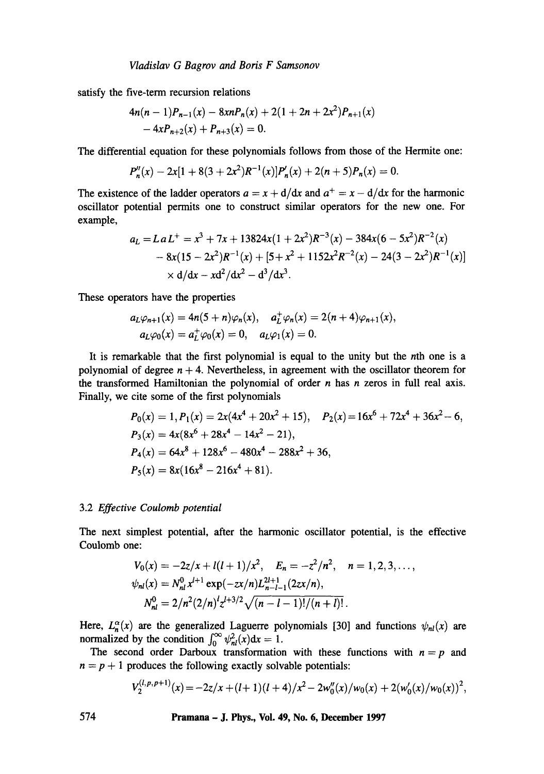satisfy the five-term recursion relations

$$
4n(n-1)P_{n-1}(x) - 8xnP_n(x) + 2(1+2n+2x^2)P_{n+1}(x) - 4xP_{n+2}(x) + P_{n+3}(x) = 0.
$$

The differential equation for these polynomials follows from those of the Hermite one:

$$
P_n''(x) - 2x[1 + 8(3 + 2x^2)R^{-1}(x)]P_n'(x) + 2(n + 5)P_n(x) = 0.
$$

The existence of the ladder operators  $a = x + d/dx$  and  $a^+ = x - d/dx$  for the harmonic oscillator potential permits one to construct similar operators for the new one. For example,

$$
a_L = La L^+ = x^3 + 7x + 13824x(1 + 2x^2)R^{-3}(x) - 384x(6 - 5x^2)R^{-2}(x)
$$
  
- 8x(15 - 2x<sup>2</sup>)R<sup>-1</sup>(x) + [5 + x<sup>2</sup> + 1152x<sup>2</sup>R<sup>-2</sup>(x) - 24(3 - 2x<sup>2</sup>)R<sup>-1</sup>(x)]  
× d/dx - xd<sup>2</sup>/dx<sup>2</sup> - d<sup>3</sup>/dx<sup>3</sup>.

These operators have the properties

$$
a_L \varphi_{n+1}(x) = 4n(5+n)\varphi_n(x), \quad a_L^+ \varphi_n(x) = 2(n+4)\varphi_{n+1}(x),
$$
  

$$
a_L \varphi_0(x) = a_L^+ \varphi_0(x) = 0, \quad a_L \varphi_1(x) = 0.
$$

It is remarkable that the first polynomial is equal to the unity but the nth one is a polynomial of degree  $n + 4$ . Nevertheless, in agreement with the oscillator theorem for the transformed Hamiltonian the polynomial of order  $n$  has  $n$  zeros in full real axis. Finally, we cite some of the first polynomials

$$
P_0(x) = 1, P_1(x) = 2x(4x^4 + 20x^2 + 15), \quad P_2(x) = 16x^6 + 72x^4 + 36x^2 - 6,
$$
  
\n
$$
P_3(x) = 4x(8x^6 + 28x^4 - 14x^2 - 21),
$$
  
\n
$$
P_4(x) = 64x^8 + 128x^6 - 480x^4 - 288x^2 + 36,
$$
  
\n
$$
P_5(x) = 8x(16x^8 - 216x^4 + 81).
$$

#### 3.2 *Effective Coulomb potential*

The next simplest potential, after the harmonic oscillator potential, is the effective Coulomb one:

$$
V_0(x) = -2z/x + l(l+1)/x^2, \quad E_n = -z^2/n^2, \quad n = 1, 2, 3, \dots,
$$
  
\n
$$
\psi_{nl}(x) = N_{nl}^0 x^{l+1} \exp(-zx/n)L_{n-l-1}^{2l+1}(2zx/n),
$$
  
\n
$$
N_{nl}^0 = 2/n^2(2/n)^l z^{l+3/2} \sqrt{(n-l-1)!/(n+l)!}.
$$

Here,  $L_n^{\alpha}(x)$  are the generalized Laguerre polynomials [30] and functions  $\psi_{nl}(x)$  are normalized by the condition  $\int_0^{\infty} \psi_{nl}^2(x) dx = 1$ .

The second order Darboux transformation with these functions with  $n = p$  and  $n = p + 1$  produces the following exactly solvable potentials:

$$
V_2^{(l,p,p+1)}(x) = -2z/x + (l+1)(l+4)/x^2 - 2w_0''(x)/w_0(x) + 2(w_0'(x)/w_0(x))^2,
$$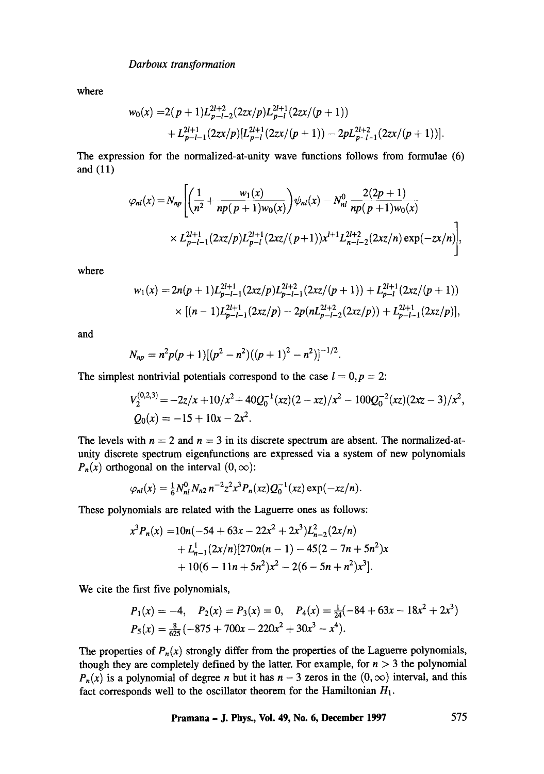where

$$
w_0(x) = 2(p+1)L_{p-l-2}^{2l+2}(2zx/p)L_{p-l}^{2l+1}(2zx/(p+1))
$$
  
+  $L_{p-l-1}^{2l+1}(2zx/p)[L_{p-l}^{2l+1}(2zx/(p+1))-2pL_{p-l-1}^{2l+2}(2zx/(p+1))].$ 

The expression for the normalized-at-unity wave functions follows from formulae (6) and (11)

$$
\varphi_{nl}(x) = N_{np} \left[ \left( \frac{1}{n^2} + \frac{w_1(x)}{np(p+1)w_0(x)} \right) \psi_{nl}(x) - N_{nl}^0 \frac{2(2p+1)}{np(p+1)w_0(x)} \times L_{p-l-1}^{2l+1} (2xz/p) L_{p-l}^{2l+1} (2xz/(p+1)) x^{l+1} L_{n-l-2}^{2l+2} (2xz/n) \exp(-zx/n) \right],
$$

where

$$
w_1(x) = 2n(p+1)L_{p-l-1}^{2l+1}(2xz/p)L_{p-l-1}^{2l+2}(2xz/(p+1)) + L_{p-l}^{2l+1}(2xz/(p+1))
$$
  
 
$$
\times [(n-1)L_{p-l-1}^{2l+1}(2xz/p) - 2p(nL_{p-l-2}^{2l+2}(2xz/p)) + L_{p-l-1}^{2l+1}(2xz/p)],
$$

and

$$
N_{np} = n^2 p(p+1)[(p^2 - n^2)((p+1)^2 - n^2)]^{-1/2}.
$$

The simplest nontrivial potentials correspond to the case  $l = 0, p = 2$ :

$$
V_2^{(0,2,3)} = -2z/x + 10/x^2 + 40Q_0^{-1}(xz)(2-xz)/x^2 - 100Q_0^{-2}(xz)(2xz - 3)/x^2,
$$
  
\n
$$
Q_0(x) = -15 + 10x - 2x^2.
$$

The levels with  $n = 2$  and  $n = 3$  in its discrete spectrum are absent. The normalized-atunity discrete spectrum eigenfunctions are expressed via a system of new polynomials  $P_n(x)$  orthogonal on the interval  $(0, \infty)$ :

$$
\varphi_{nl}(x) = \frac{1}{6} N_{nl}^0 N_{n2} n^{-2} z^2 x^3 P_n(xz) Q_0^{-1}(xz) \exp(-xz/n).
$$

These polynomials are related with the Laguerre ones as follows:

$$
x^{3}P_{n}(x) = 10n(-54 + 63x - 22x^{2} + 2x^{3})L_{n-2}^{2}(2x/n)
$$
  
+ L\_{n-1}^{1}(2x/n)[270n(n - 1) - 45(2 - 7n + 5n^{2})x  
+ 10(6 - 11n + 5n^{2})x^{2} - 2(6 - 5n + n^{2})x^{3}].

We cite the first five polynomials,

$$
P_1(x) = -4, \quad P_2(x) = P_3(x) = 0, \quad P_4(x) = \frac{1}{24}(-84 + 63x - 18x^2 + 2x^3)
$$
  

$$
P_5(x) = \frac{8}{625}(-875 + 700x - 220x^2 + 30x^3 - x^4).
$$

The properties of  $P_n(x)$  strongly differ from the properties of the Laguerre polynomials, though they are completely defined by the latter. For example, for  $n > 3$  the polynomial  $P_n(x)$  is a polynomial of degree *n* but it has  $n-3$  zeros in the  $(0, \infty)$  interval, and this fact corresponds well to the oscillator theorem for the Hamiltonian  $H_1$ .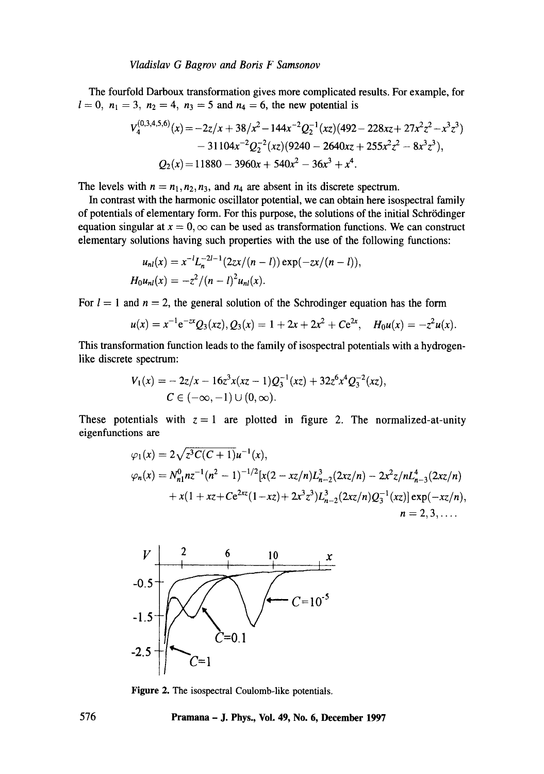The fourfold Darboux transformation gives more complicated results. For example, for  $l = 0$ ,  $n_1 = 3$ ,  $n_2 = 4$ ,  $n_3 = 5$  and  $n_4 = 6$ , the new potential is

$$
V_4^{(0,3,4,5,6)}(x) = -2z/x + 38/x^2 - 144x^{-2}Q_2^{-1}(xz)(492 - 228xz + 27x^2z^2 - x^3z^3)
$$
  
- 31104x<sup>-2</sup>Q<sub>2</sub><sup>-2</sup>(xz)(9240 - 2640xz + 255x<sup>2</sup>z<sup>2</sup> - 8x<sup>3</sup>z<sup>3</sup>),  
Q<sub>2</sub>(x) = 11880 - 3960x + 540x<sup>2</sup> - 36x<sup>3</sup> + x<sup>4</sup>.

The levels with  $n = n_1, n_2, n_3$ , and  $n_4$  are absent in its discrete spectrum.

In contrast with the harmonic oscillator potential, we can obtain here isospectral family of potentials of elementary form. For this purpose, the solutions of the initial Schrödinger equation singular at  $x = 0$ ,  $\infty$  can be used as transformation functions. We can construct elementary solutions having such properties with the use of the following functions:

$$
u_{nl}(x) = x^{-l} L_n^{-2l-1} (2zx/(n-l)) \exp(-zx/(n-l)),
$$
  
\n
$$
H_0 u_{nl}(x) = -z^2/(n-l)^2 u_{nl}(x).
$$

For  $l = 1$  and  $n = 2$ , the general solution of the Schrodinger equation has the form

$$
u(x) = x^{-1}e^{-2x}Q_3(xz), Q_3(x) = 1 + 2x + 2x^2 + Ce^{2x}, \quad H_0u(x) = -z^2u(x).
$$

This transformation function leads to the family of isospectral potentials with a hydrogenlike discrete spectrum:

$$
V_1(x) = -2z/x - 16z^3x(xz - 1)Q_3^{-1}(xz) + 32z^6x^4Q_3^{-2}(xz),
$$
  
\n
$$
C \in (-\infty, -1) \cup (0, \infty).
$$

These potentials with  $z = 1$  are plotted in figure 2. The normalized-at-unity eigenfunctions are

$$
\varphi_1(x) = 2\sqrt{z^3}C(C+1)u^{-1}(x),
$$
  
\n
$$
\varphi_n(x) = N_{n1}^0 n z^{-1} (n^2 - 1)^{-1/2} [x(2 - xz/n)L_{n-2}^3(2xz/n) - 2x^2z/nL_{n-3}^4(2xz/n) + x(1 + xz + Ce^{2xz}(1 - xz) + 2x^3z^3)L_{n-2}^3(2xz/n)Q_3^{-1}(xz)] \exp(-xz/n),
$$
  
\n
$$
n = 2, 3, ....
$$



**Figure** 2. The isospectral Coulomb-like potentials.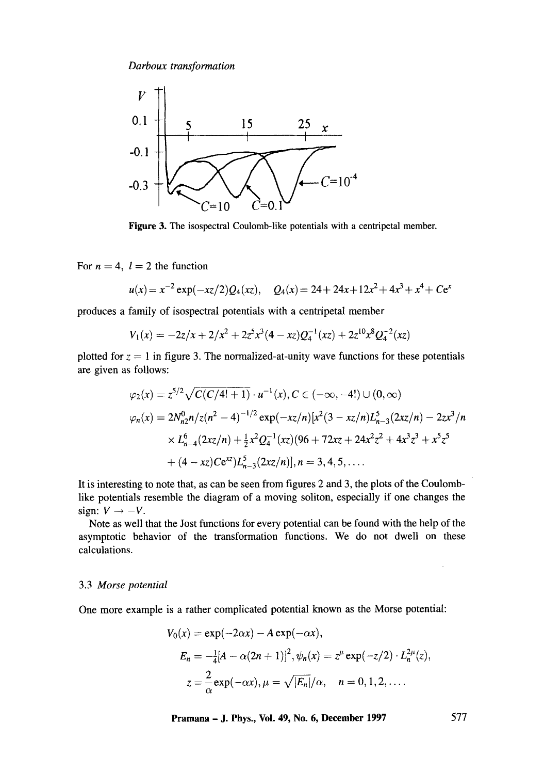

Figure 3. The isospectral Coulomb-like potentials with a centripetal member.

For  $n = 4$ ,  $l = 2$  the function

$$
u(x) = x^{-2} \exp(-xz/2)Q_4(xz), \quad Q_4(x) = 24 + 24x + 12x^2 + 4x^3 + x^4 + Ce^x
$$

produces a family of isospectral potentials with a centripetal member

$$
V_1(x) = -2z/x + 2/x^2 + 2z^5x^3(4 - xz)Q_4^{-1}(xz) + 2z^{10}x^8Q_4^{-2}(xz)
$$

plotted for  $z = 1$  in figure 3. The normalized-at-unity wave functions for these potentials are given as follows:

$$
\varphi_2(x) = z^{5/2} \sqrt{C(C/4!+1)} \cdot u^{-1}(x), C \in (-\infty, -4!) \cup (0, \infty)
$$
  

$$
\varphi_n(x) = 2N_{n2}^0 n/z(n^2 - 4)^{-1/2} \exp(-xz/n)[x^2(3 - xz/n)L_{n-3}^5(2xz/n) - 2zx^3/n
$$
  

$$
\times L_{n-4}^6(2xz/n) + \frac{1}{2}x^2Q_4^{-1}(xz)(96 + 72xz + 24x^2z^2 + 4x^3z^3 + x^5z^5 + (4 - xz)Ce^{xz})L_{n-3}^5(2xz/n)], n = 3, 4, 5, ....
$$

It is interesting to note that, as can be seen from figures 2 and 3, the plots of the Coulomblike potentials resemble the diagram of a moving soliton, especially if one changes the sign:  $V \rightarrow -V$ .

Note as well that the Jost functions for every potential can be found with the help of the asymptotic behavior of the transformation functions. We do not dwell on these calculations.

#### 3.3 *Morse potential*

One more example is a rather complicated potential known as the Morse potential:

$$
V_0(x) = \exp(-2\alpha x) - A \exp(-\alpha x),
$$
  
\n
$$
E_n = -\frac{1}{4}[A - \alpha(2n + 1)]^2, \psi_n(x) = z^{\mu} \exp(-z/2) \cdot L_n^{2\mu}(z),
$$
  
\n
$$
z = \frac{2}{\alpha} \exp(-\alpha x), \mu = \sqrt{|E_n|}/\alpha, \quad n = 0, 1, 2, ....
$$

**Pramana - J. Phys., Vol. 49, No. 6, December 1997 577** 

 $\bar{z}$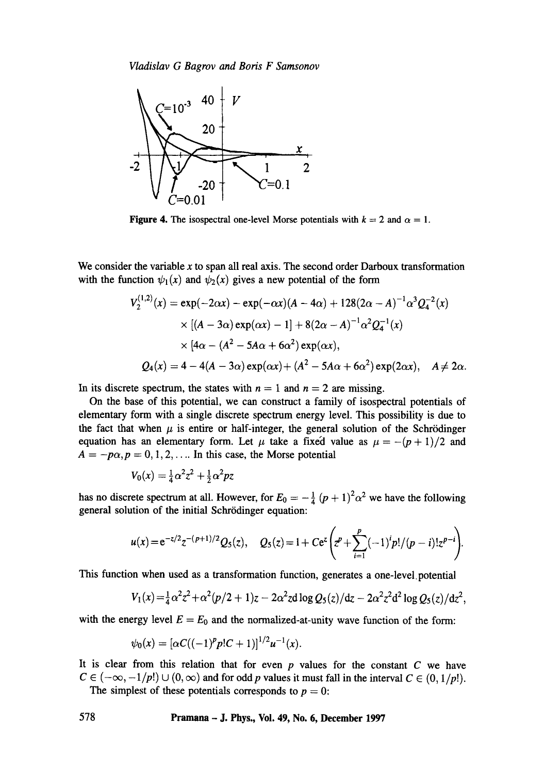

**Figure 4.** The isospectral one-level Morse potentials with  $k = 2$  and  $\alpha = 1$ .

We consider the variable  $x$  to span all real axis. The second order Darboux transformation with the function  $\psi_1(x)$  and  $\psi_2(x)$  gives a new potential of the form

$$
V_2^{(1,2)}(x) = \exp(-2\alpha x) - \exp(-\alpha x)(A - 4\alpha) + 128(2\alpha - A)^{-1}\alpha^3 Q_4^{-2}(x)
$$
  
× [(A – 3\alpha) exp( $\alpha x$ ) – 1] + 8(2 $\alpha$  – A)<sup>-1</sup> $\alpha^2 Q_4^{-1}(x)$   
× [4 $\alpha$  – (A<sup>2</sup> – 5A $\alpha$  + 6 $\alpha^2$ ) exp( $\alpha x$ ),  
 $Q_4(x) = 4 - 4(A - 3\alpha) exp(\alpha x) + (A^2 - 5A\alpha + 6\alpha^2) exp(2\alpha x), \quad A \neq 2\alpha.$ 

In its discrete spectrum, the states with  $n = 1$  and  $n = 2$  are missing.

On the base of this potential, we can construct a family of isospectral potentials of elementary form with a single discrete spectrum energy level. This possibility is due to the fact that when  $\mu$  is entire or half-integer, the general solution of the Schrödinger equation has an elementary form. Let  $\mu$  take a fixed value as  $\mu = -(p + 1)/2$  and  $A = -p\alpha, p = 0, 1, 2, \dots$  In this case, the Morse potential

$$
V_0(x) = \frac{1}{4}\alpha^2 z^2 + \frac{1}{2}\alpha^2 pz
$$

has no discrete spectrum at all. However, for  $E_0 = -\frac{1}{4} (p + 1)^2 \alpha^2$  we have the following general solution of the initial Schrödinger equation:

$$
u(x) = e^{-z/2}z^{-(p+1)/2}Q_5(z), \quad Q_5(z) = 1 + Ce^z\bigg(z^p + \sum_{i=1}^p (-1)^i p!/(p-i)!z^{p-i}\bigg).
$$

This function when used as a transformation function, generates a one-level.potential

$$
V_1(x) = \frac{1}{4}\alpha^2 z^2 + \alpha^2 (p/2 + 1)z - 2\alpha^2 z d \log Q_5(z)/dz - 2\alpha^2 z^2 d^2 \log Q_5(z)/dz^2,
$$

with the energy level  $E = E_0$  and the normalized-at-unity wave function of the form:

$$
\psi_0(x)=[\alpha C((-1)^p p!C+1)]^{1/2}u^{-1}(x).
$$

It is clear from this relation that for even  $p$  values for the constant  $C$  we have  $C \in (-\infty, -1/p!) \cup (0, \infty)$  and for odd p values it must fall in the interval  $C \in (0, 1/p!)$ . The simplest of these potentials corresponds to  $p = 0$ :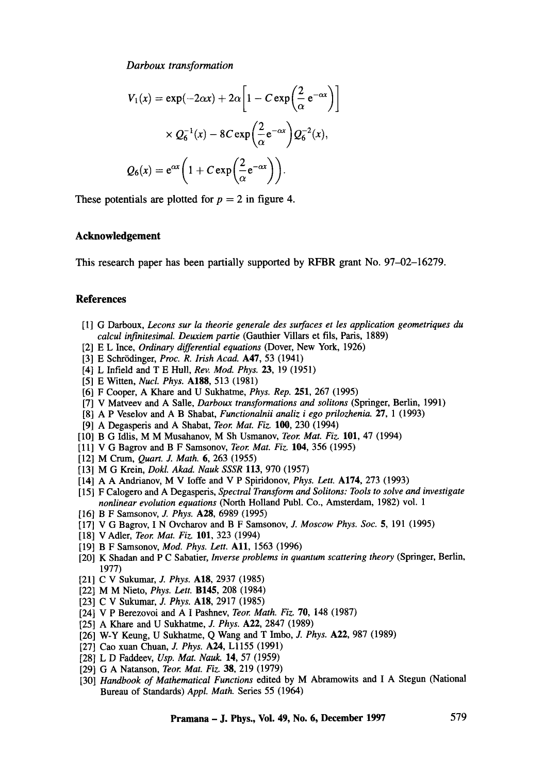$$
V_1(x) = \exp(-2\alpha x) + 2\alpha \left[ 1 - C \exp\left(\frac{2}{\alpha} e^{-\alpha x}\right) \right]
$$

$$
\times Q_6^{-1}(x) - 8C \exp\left(\frac{2}{\alpha} e^{-\alpha x}\right) Q_6^{-2}(x),
$$

$$
Q_6(x) = e^{\alpha x} \left( 1 + C \exp\left(\frac{2}{\alpha} e^{-\alpha x}\right) \right).
$$

These potentials are plotted for  $p = 2$  in figure 4.

# **Acknowledgement**

This research paper has been partially supported by RFBR grant No. 97-02-16279.

# **References**

- [1] G Darboux, *Lecons sur la theorie generale des surfaces et les application geometriques du calcul infinitesimal. Deuxiem partie* (Gauthier Villars et ills, Paris, 1889)
- [2] E L Ince, *Ordinary differential equations* (Dover, New York, 1926)
- [3] E Schrödinger, *Proc. R. Irish Acad.* **A47**, 53 (1941)
- [4] L Infield and T E Hull, *Rev. Mod. Phys.* 23, 19 (1951)
- [5] E Witten, *Nucl. Phys.* **A188,** 513 (1981)
- [6] F Cooper, A Khare and U Sukhatme, *Phys. Rep.* 251, 267 (1995)
- [7] V Matveev and A Salle, *Darboux transformations and solitons* (Springer, Berlin, 1991)
- [8] A P Veselov and A B Shabat, *Functionalnii analiz i ego prilozhenia.* 27, 1 (1993)
- [9] A Degasperis and A Shabat, *Teor. Mat. Fiz.* 100, 230 (1994)
- [10] B G Idlis, M M Musahanov, M Sh Usmanov, *Teor. Mat. Fiz.* 101, 47 (1994)
- [11] V G Bagrov and B F Samsonov, *Teor. Mat. Fiz.* 104, 356 (1995)
- [12] M Crum, *Quart. J. Math.* 6, 263 (1955)
- [13] M G Krein, *Dokl. Akad. Nauk SSSR* 113, 970 (1957)
- [14] A A Andrianov, M V Ioffe and V P Spiridonov, *Phys. Lett.* A174, 273 (1993)
- [15] F Calogero and A Degasperis, *Spectral Transform and Solitons: Tools to solve and investigate nonlinear evolution equations* (North Holland Publ. Co., Amsterdam, 1982) vol. 1
- [16] B F Samsonov, J. *Phys.* A28, 6989 (1995)
- [17] V G Bagrov, I N Ovcharov and B F Samsonov, J. *Moscow Phys. Soc.* 5, 191 (1995)
- [18] V Adler, *Teor. Mat. Fiz.* 101, 323 (1994)
- [19] B F Samsonov, *Mod. Phys. Lett.* All, 1563 (1996)
- [20] K Shadan and P C Sabatier, *Inverse problems in quantum scattering theory* (Springer, Berlin, 1977)
- [21] C V Sukurnar, *J. Phys.* A18, 2937 (1985)
- [22] M M Nieto, *Phys. Lett.* B145, 208 (1984)
- [23] C V Sukumar, *J. Phys.* A18, 2917 (1985)
- [24] V P Berezovoi and A I Pashnev, *Teor. Math. Fiz.* 70, 148 (1987)
- [25] A Khare and U Sukhatme, *J. Phys.* A22, 2847 (1989)
- [26] W-Y Keung, U Sukhatme, Q Wang and T Imbo, *J. Phys.* A22, 987 (1989)
- [27] Cao xuan Chuan, J. *Phys.* A24, L1155 (1991)
- [28] L D Faddeev, *Usp. Mat. Nauk.* 14, 57 (1959)
- [29] G A Natanson, *Teor. Mat. Fiz.* 38, 219 (1979)
- [30] *Handbook of Mathematical Functions* edited by M Abramowits and I A Stegun (National Bureau of Standards) *Appl. Math.* Series 55 (1964)